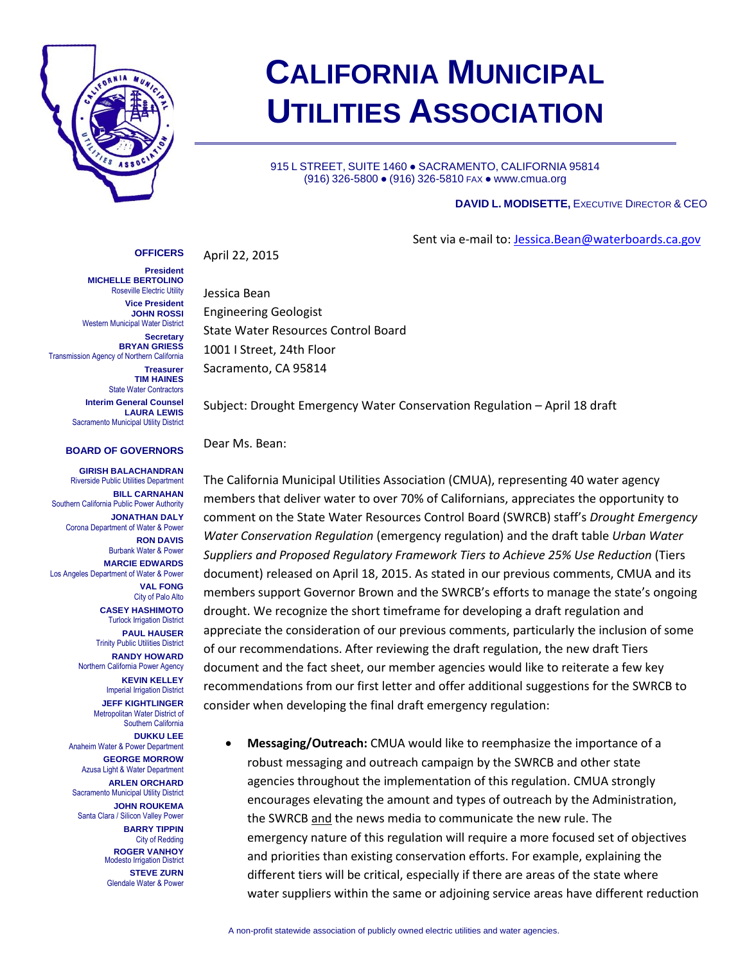

## **CALIFORNIA MUNICIPAL UTILITIES ASSOCIATION**

915 L STREET, SUITE 1460 · SACRAMENTO, CALIFORNIA 95814 (916) 326-5800 ● (916) 326-5810 FAX ● www.cmua.org

## **DAVID L. MODISETTE,** EXECUTIVE DIRECTOR & CEO

Sent via e-mail to: [Jessica.Bean@waterboards.ca.gov](mailto:Jessica.Bean@waterboards.ca.gov)

April 22, 2015

**President MICHELLE BERTOLINO** Roseville Electric Utility **Vice President JOHN ROSSI** Western Municipal Water District

**OFFICERS**

**Secretary BRYAN GRIESS** Transmission Agency of Northern California

> **Treasurer TIM HAINES** State Water Contractors

**Interim General Counsel LAURA LEWIS** Sacramento Municipal Utility District

## **BOARD OF GOVERNORS**

**GIRISH BALACHANDRAN** Riverside Public Utilities Department **BILL CARNAHAN** Southern California Public Power Authority **JONATHAN DALY** Corona Department of Water & Power **RON DAVIS** Burbank Water & Power **MARCIE EDWARDS** Los Angeles Department of Water & Power **VAL FONG** City of Palo Alto **CASEY HASHIMOTO** Turlock Irrigation District **PAUL HAUSER** Trinity Public Utilities District **RANDY HOWARD** Northern California Power Agency **KEVIN KELLEY** Imperial Irrigation District **JEFF KIGHTLINGER** Metropolitan Water District of Southern California **DUKKU LEE** Anaheim Water & Power Department **GEORGE MORROW** Azusa Light & Water Department **ARLEN ORCHARD** Sacramento Municipal Utility District **JOHN ROUKEMA** Santa Clara / Silicon Valley Power **BARRY TIPPIN** City of Redding **ROGER VANHOY** Modesto Irrigation District **STEVE ZURN** Glendale Water & Power

Jessica Bean Engineering Geologist State Water Resources Control Board 1001 I Street, 24th Floor Sacramento, CA 95814

Subject: Drought Emergency Water Conservation Regulation – April 18 draft

Dear Ms. Bean:

The California Municipal Utilities Association (CMUA), representing 40 water agency members that deliver water to over 70% of Californians, appreciates the opportunity to comment on the State Water Resources Control Board (SWRCB) staff's *Drought Emergency Water Conservation Regulation* (emergency regulation) and the draft table *Urban Water Suppliers and Proposed Regulatory Framework Tiers to Achieve 25% Use Reduction* (Tiers document) released on April 18, 2015. As stated in our previous comments, CMUA and its members support Governor Brown and the SWRCB's efforts to manage the state's ongoing drought. We recognize the short timeframe for developing a draft regulation and appreciate the consideration of our previous comments, particularly the inclusion of some of our recommendations. After reviewing the draft regulation, the new draft Tiers document and the fact sheet, our member agencies would like to reiterate a few key recommendations from our first letter and offer additional suggestions for the SWRCB to consider when developing the final draft emergency regulation:

 **Messaging/Outreach:** CMUA would like to reemphasize the importance of a robust messaging and outreach campaign by the SWRCB and other state agencies throughout the implementation of this regulation. CMUA strongly encourages elevating the amount and types of outreach by the Administration, the SWRCB and the news media to communicate the new rule. The emergency nature of this regulation will require a more focused set of objectives and priorities than existing conservation efforts. For example, explaining the different tiers will be critical, especially if there are areas of the state where water suppliers within the same or adjoining service areas have different reduction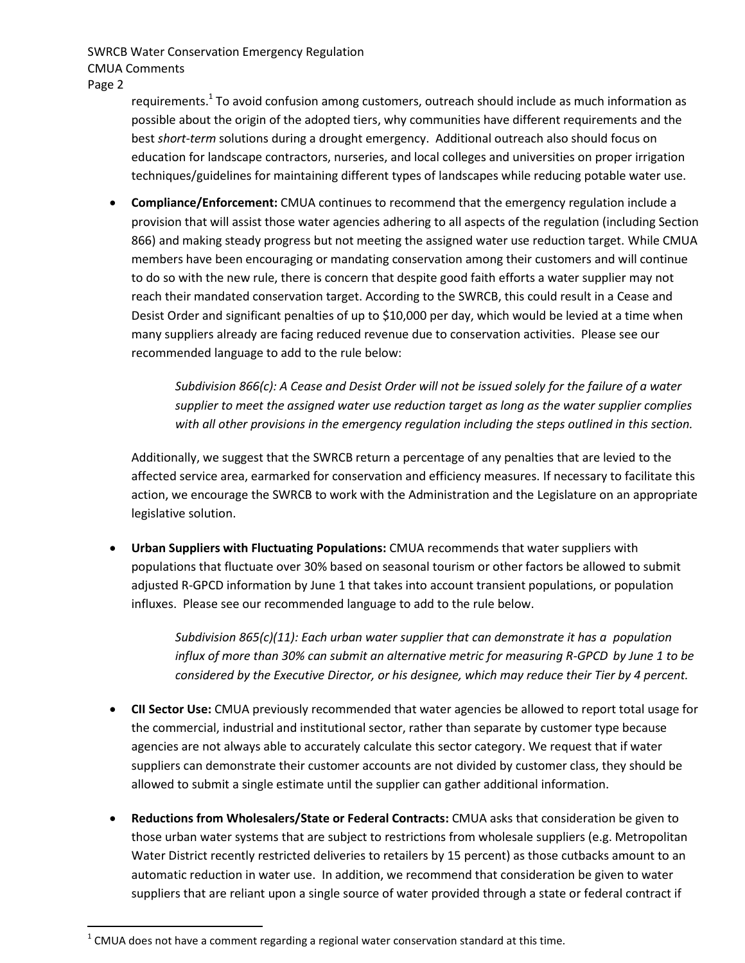SWRCB Water Conservation Emergency Regulation CMUA Comments

Page 2

 $\overline{a}$ 

requirements.<sup>1</sup> To avoid confusion among customers, outreach should include as much information as possible about the origin of the adopted tiers, why communities have different requirements and the best *short-term* solutions during a drought emergency. Additional outreach also should focus on education for landscape contractors, nurseries, and local colleges and universities on proper irrigation techniques/guidelines for maintaining different types of landscapes while reducing potable water use.

 **Compliance/Enforcement:** CMUA continues to recommend that the emergency regulation include a provision that will assist those water agencies adhering to all aspects of the regulation (including Section 866) and making steady progress but not meeting the assigned water use reduction target. While CMUA members have been encouraging or mandating conservation among their customers and will continue to do so with the new rule, there is concern that despite good faith efforts a water supplier may not reach their mandated conservation target. According to the SWRCB, this could result in a Cease and Desist Order and significant penalties of up to \$10,000 per day, which would be levied at a time when many suppliers already are facing reduced revenue due to conservation activities. Please see our recommended language to add to the rule below:

> *Subdivision 866(c): A Cease and Desist Order will not be issued solely for the failure of a water supplier to meet the assigned water use reduction target as long as the water supplier complies with all other provisions in the emergency regulation including the steps outlined in this section.*

Additionally, we suggest that the SWRCB return a percentage of any penalties that are levied to the affected service area, earmarked for conservation and efficiency measures. If necessary to facilitate this action, we encourage the SWRCB to work with the Administration and the Legislature on an appropriate legislative solution.

 **Urban Suppliers with Fluctuating Populations:** CMUA recommends that water suppliers with populations that fluctuate over 30% based on seasonal tourism or other factors be allowed to submit adjusted R-GPCD information by June 1 that takes into account transient populations, or population influxes. Please see our recommended language to add to the rule below.

> *Subdivision 865(c)(11): Each urban water supplier that can demonstrate it has a population influx of more than 30% can submit an alternative metric for measuring R-GPCD by June 1 to be considered by the Executive Director, or his designee, which may reduce their Tier by 4 percent.*

- **CII Sector Use:** CMUA previously recommended that water agencies be allowed to report total usage for the commercial, industrial and institutional sector, rather than separate by customer type because agencies are not always able to accurately calculate this sector category. We request that if water suppliers can demonstrate their customer accounts are not divided by customer class, they should be allowed to submit a single estimate until the supplier can gather additional information.
- **Reductions from Wholesalers/State or Federal Contracts:** CMUA asks that consideration be given to those urban water systems that are subject to restrictions from wholesale suppliers (e.g. Metropolitan Water District recently restricted deliveries to retailers by 15 percent) as those cutbacks amount to an automatic reduction in water use. In addition, we recommend that consideration be given to water suppliers that are reliant upon a single source of water provided through a state or federal contract if

 $^{1}$  CMUA does not have a comment regarding a regional water conservation standard at this time.